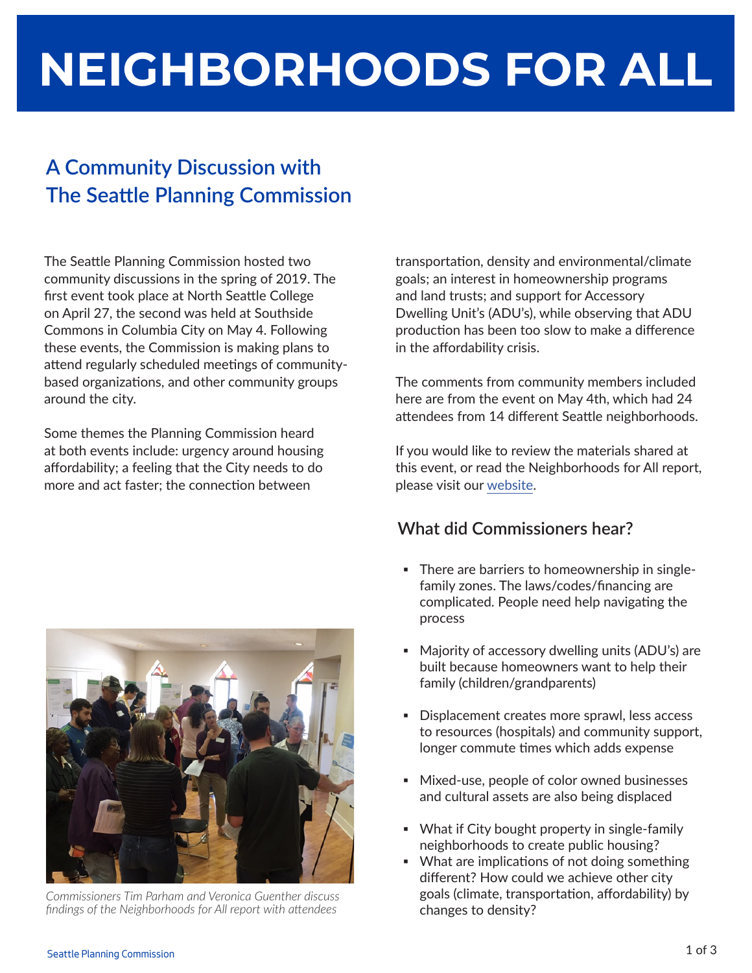# **NEIGHBORHOODS FOR ALL**

# **A Community Discussion with The Seattle Planning Commission**

The Seattle Planning Commission hosted two community discussions in the spring of 2019. The first event took place at North Seattle College on April 27, the second was held at Southside Commons in Columbia City on May 4. Following these events, the Commission is making plans to attend regularly scheduled meetings of communitybased organizations, and other community groups around the city.

Some themes the Planning Commission heard at both events include: urgency around housing affordability; a feeling that the City needs to do more and act faster; the connection between

transportation, density and environmental/climate goals; an interest in homeownership programs and land trusts; and support for Accessory Dwelling Unit's (ADU's), while observing that ADU production has been too slow to make a difference in the affordability crisis.

The comments from community members included here are from the event on May 4th, which had 24 attendees from 14 different Seattle neighborhoods.

If you would like to review the materials shared at this event, or read the Neighborhoods for All report, please visit our website.

#### **What did Commissioners hear?**

- **EXECT** There are barriers to homeownership in singlefamily zones. The laws/codes/financing are complicated. People need help navigating the process
- Majority of accessory dwelling units (ADU's) are built because homeowners want to help their family (children/grandparents)
- **EXECO PERICEMENT CITED SHOW PROPERT DESPISTED FOR SEX PROPERTY DESPISTABLE** to resources (hospitals) and community support, longer commute times which adds expense
- Mixed-use, people of color owned businesses and cultural assets are also being displaced
- What if City bought property in single-family neighborhoods to create public housing?
- What are implications of not doing something different? How could we achieve other city goals (climate, transportation, affordability) by changes to density?

*Commissioners Tim Parham and Veronica Guenther discuss findings of the Neighborhoods for All report with attendees*

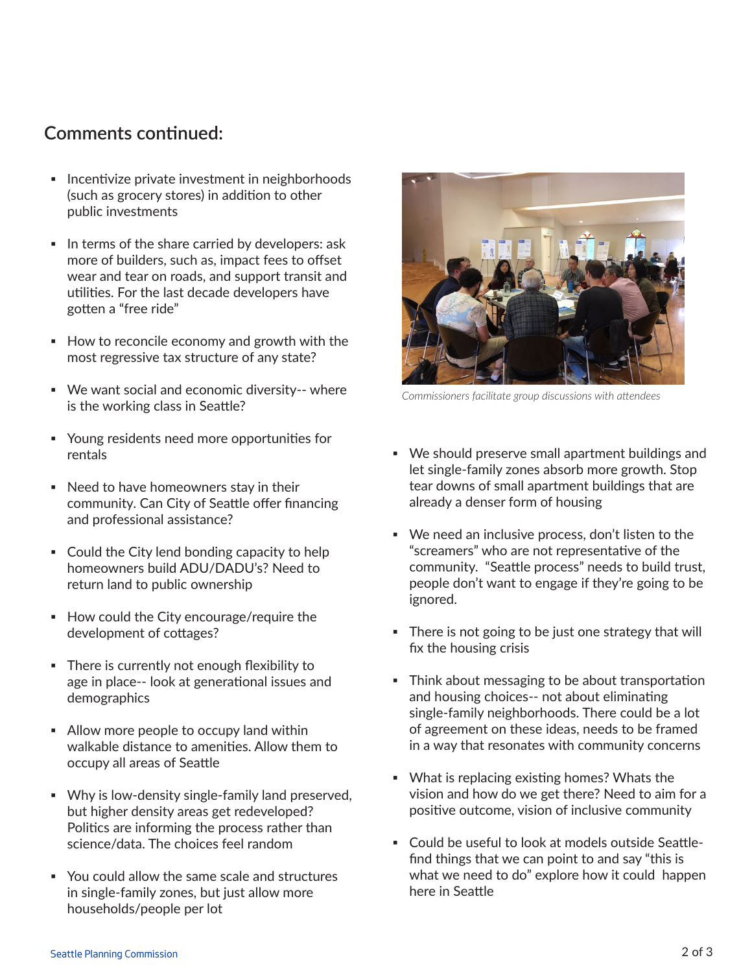#### **Comments continued:**

- Incentivize private investment in neighborhoods (such as grocery stores) in addition to other public investments
- **.** In terms of the share carried by developers: ask more of builders, such as, impact fees to offset wear and tear on roads, and support transit and utilities. For the last decade developers have gotten a "free ride"
- How to reconcile economy and growth with the most regressive tax structure of any state?
- We want social and economic diversity-- where is the working class in Seattle?
- Young residents need more opportunities for rentals
- Need to have homeowners stay in their community. Can City of Seattle offer financing and professional assistance?
- Could the City lend bonding capacity to help homeowners build ADU/DADU's? Need to return land to public ownership
- How could the City encourage/require the development of cottages?
- There is currently not enough flexibility to age in place-- look at generational issues and demographics
- Allow more people to occupy land within walkable distance to amenities. Allow them to occupy all areas of Seattle
- **Why is low-density single-family land preserved,** but higher density areas get redeveloped? Politics are informing the process rather than science/data. The choices feel random
- You could allow the same scale and structures in single-family zones, but just allow more households/people per lot



*Commissioners facilitate group discussions with attendees*

- We should preserve small apartment buildings and let single-family zones absorb more growth. Stop tear downs of small apartment buildings that are already a denser form of housing
- We need an inclusive process, don't listen to the "screamers" who are not representative of the community. "Seattle process" needs to build trust, people don't want to engage if they're going to be ignored.
- There is not going to be just one strategy that will fix the housing crisis
- **•** Think about messaging to be about transportation and housing choices-- not about eliminating single-family neighborhoods. There could be a lot of agreement on these ideas, needs to be framed in a way that resonates with community concerns
- What is replacing existing homes? Whats the vision and how do we get there? Need to aim for a positive outcome, vision of inclusive community
- Could be useful to look at models outside Seattlefind things that we can point to and say "this is what we need to do" explore how it could happen here in Seattle